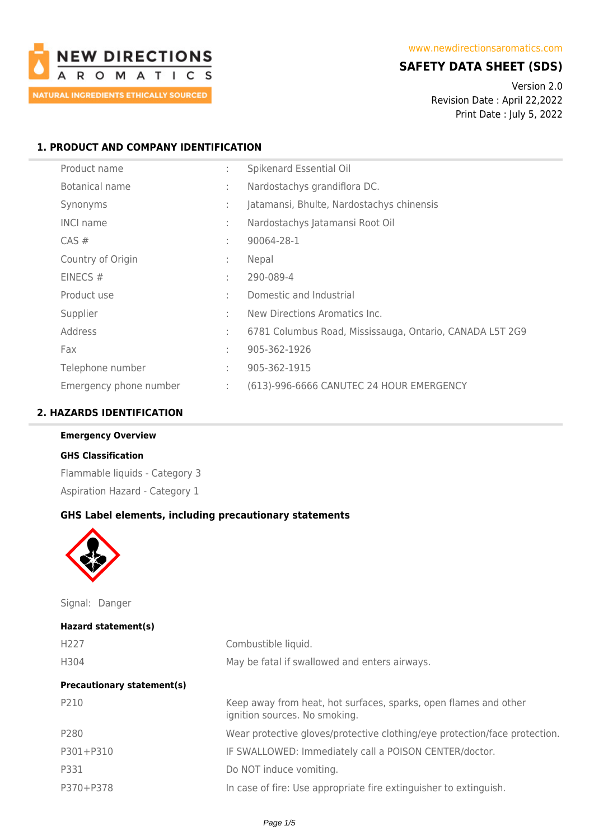

## **SAFETY DATA SHEET (SDS)**

Version 2.0 Revision Date : April 22,2022 Print Date : July 5, 2022

### **1. PRODUCT AND COMPANY IDENTIFICATION**

| Product name           | ÷            | Spikenard Essential Oil                                  |
|------------------------|--------------|----------------------------------------------------------|
| Botanical name         | ÷            | Nardostachys grandiflora DC.                             |
| Synonyms               | ÷            | Jatamansi, Bhulte, Nardostachys chinensis                |
| <b>INCI name</b>       | ÷            | Nardostachys Jatamansi Root Oil                          |
| $CAS \#$               | ÷            | 90064-28-1                                               |
| Country of Origin      | ÷            | Nepal                                                    |
| EINECS $#$             | ÷            | 290-089-4                                                |
| Product use            | ÷            | Domestic and Industrial                                  |
| Supplier               | ÷            | New Directions Aromatics Inc.                            |
| Address                | ÷            | 6781 Columbus Road, Mississauga, Ontario, CANADA L5T 2G9 |
| Fax                    | $\mathbf{r}$ | 905-362-1926                                             |
| Telephone number       | ÷            | 905-362-1915                                             |
| Emergency phone number | ÷            | (613)-996-6666 CANUTEC 24 HOUR EMERGENCY                 |

#### **2. HAZARDS IDENTIFICATION**

#### **Emergency Overview**

### **GHS Classification**

Flammable liquids - Category 3 Aspiration Hazard - Category 1

#### **GHS Label elements, including precautionary statements**



Signal: Danger

| Hazard statement(s)               |                                                                                                   |
|-----------------------------------|---------------------------------------------------------------------------------------------------|
| H <sub>227</sub>                  | Combustible liquid.                                                                               |
| H304                              | May be fatal if swallowed and enters airways.                                                     |
| <b>Precautionary statement(s)</b> |                                                                                                   |
| P210                              | Keep away from heat, hot surfaces, sparks, open flames and other<br>ignition sources. No smoking. |
| P280                              | Wear protective gloves/protective clothing/eye protection/face protection.                        |
| P301+P310                         | IF SWALLOWED: Immediately call a POISON CENTER/doctor.                                            |
| P331                              | Do NOT induce vomiting.                                                                           |
| P370+P378                         | In case of fire: Use appropriate fire extinguisher to extinguish.                                 |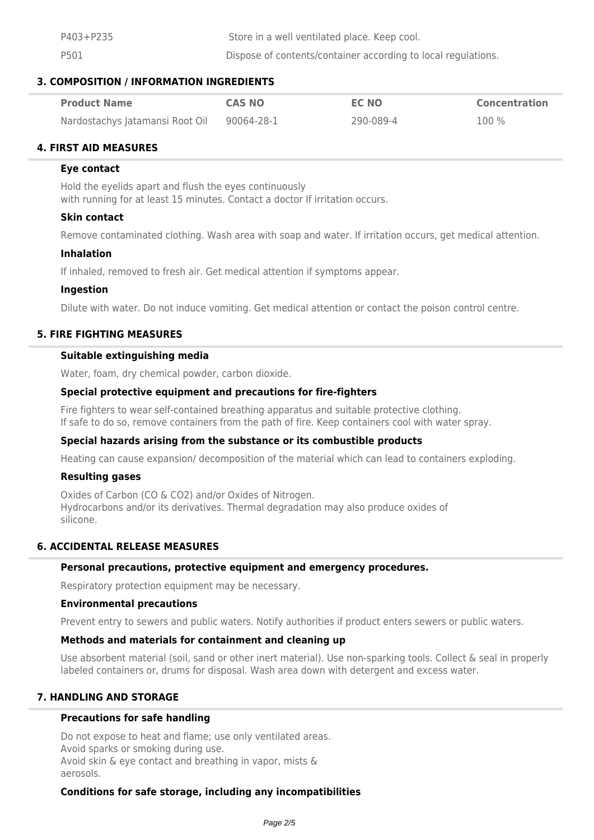P403+P235 Store in a well ventilated place. Keep cool. P501 Dispose of contents/container according to local regulations.

### **3. COMPOSITION / INFORMATION INGREDIENTS**

| <b>Product Name</b>             | <b>CAS NO</b> | <b>EC NO</b> | <b>Concentration</b> |
|---------------------------------|---------------|--------------|----------------------|
| Nardostachys Jatamansi Root Oil | 90064-28-1    | 290-089-4    | 100 %                |

### **4. FIRST AID MEASURES**

#### **Eye contact**

Hold the eyelids apart and flush the eyes continuously with running for at least 15 minutes. Contact a doctor If irritation occurs.

#### **Skin contact**

Remove contaminated clothing. Wash area with soap and water. If irritation occurs, get medical attention.

#### **Inhalation**

If inhaled, removed to fresh air. Get medical attention if symptoms appear.

#### **Ingestion**

Dilute with water. Do not induce vomiting. Get medical attention or contact the poison control centre.

### **5. FIRE FIGHTING MEASURES**

#### **Suitable extinguishing media**

Water, foam, dry chemical powder, carbon dioxide.

#### **Special protective equipment and precautions for fire-fighters**

Fire fighters to wear self-contained breathing apparatus and suitable protective clothing. If safe to do so, remove containers from the path of fire. Keep containers cool with water spray.

#### **Special hazards arising from the substance or its combustible products**

Heating can cause expansion/ decomposition of the material which can lead to containers exploding.

#### **Resulting gases**

Oxides of Carbon (CO & CO2) and/or Oxides of Nitrogen. Hydrocarbons and/or its derivatives. Thermal degradation may also produce oxides of silicone.

#### **6. ACCIDENTAL RELEASE MEASURES**

#### **Personal precautions, protective equipment and emergency procedures.**

Respiratory protection equipment may be necessary.

#### **Environmental precautions**

Prevent entry to sewers and public waters. Notify authorities if product enters sewers or public waters.

#### **Methods and materials for containment and cleaning up**

Use absorbent material (soil, sand or other inert material). Use non-sparking tools. Collect & seal in properly labeled containers or, drums for disposal. Wash area down with detergent and excess water.

#### **7. HANDLING AND STORAGE**

#### **Precautions for safe handling**

Do not expose to heat and flame; use only ventilated areas. Avoid sparks or smoking during use. Avoid skin & eye contact and breathing in vapor, mists & aerosols.

#### **Conditions for safe storage, including any incompatibilities**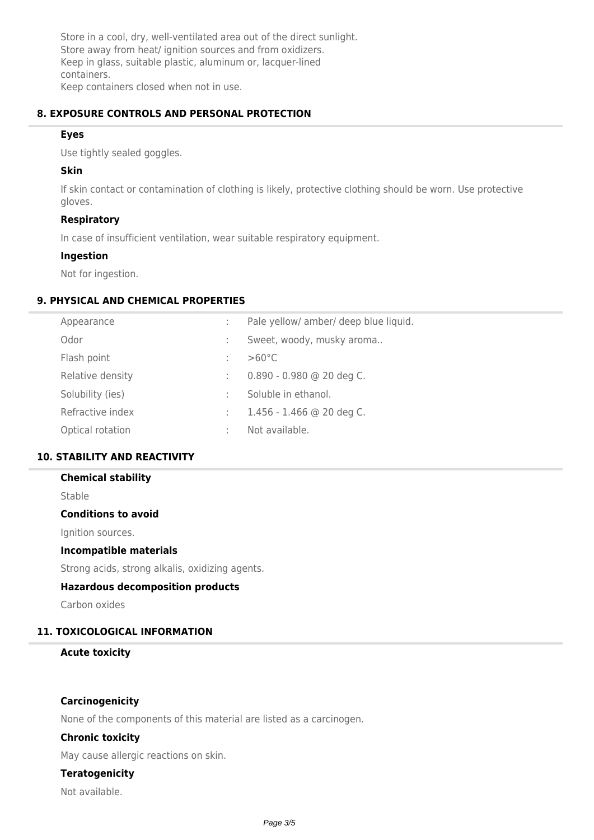Store in a cool, dry, well-ventilated area out of the direct sunlight. Store away from heat/ ignition sources and from oxidizers. Keep in glass, suitable plastic, aluminum or, lacquer-lined containers. Keep containers closed when not in use.

### **8. EXPOSURE CONTROLS AND PERSONAL PROTECTION**

#### **Eyes**

Use tightly sealed goggles.

### **Skin**

If skin contact or contamination of clothing is likely, protective clothing should be worn. Use protective gloves.

## **Respiratory**

In case of insufficient ventilation, wear suitable respiratory equipment.

## **Ingestion**

Not for ingestion.

## **9. PHYSICAL AND CHEMICAL PROPERTIES**

| Appearance       | ÷            | Pale yellow/ amber/ deep blue liquid. |
|------------------|--------------|---------------------------------------|
| Odor             | $\mathbf{r}$ | Sweet, woody, musky aroma             |
| Flash point      |              | $>60^{\circ}$ C                       |
| Relative density | ÷            | $0.890 - 0.980$ @ 20 deg C.           |
| Solubility (ies) | ÷            | Soluble in ethanol.                   |
| Refractive index | ÷.           | $1.456 - 1.466$ @ 20 deg C.           |
| Optical rotation | ÷            | Not available.                        |
|                  |              |                                       |

## **10. STABILITY AND REACTIVITY**

#### **Chemical stability**

Stable

#### **Conditions to avoid**

Ignition sources.

#### **Incompatible materials**

Strong acids, strong alkalis, oxidizing agents.

### **Hazardous decomposition products**

Carbon oxides

### **11. TOXICOLOGICAL INFORMATION**

#### **Acute toxicity**

#### **Carcinogenicity**

None of the components of this material are listed as a carcinogen.

### **Chronic toxicity**

May cause allergic reactions on skin.

### **Teratogenicity**

Not available.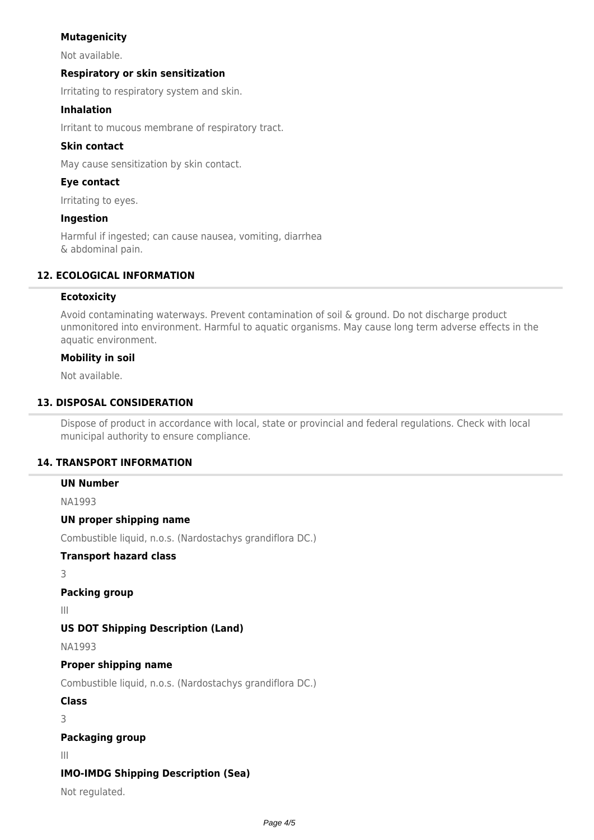## **Mutagenicity**

Not available.

### **Respiratory or skin sensitization**

Irritating to respiratory system and skin.

### **Inhalation**

Irritant to mucous membrane of respiratory tract.

### **Skin contact**

May cause sensitization by skin contact.

### **Eye contact**

Irritating to eyes.

#### **Ingestion**

Harmful if ingested; can cause nausea, vomiting, diarrhea & abdominal pain.

### **12. ECOLOGICAL INFORMATION**

#### **Ecotoxicity**

Avoid contaminating waterways. Prevent contamination of soil & ground. Do not discharge product unmonitored into environment. Harmful to aquatic organisms. May cause long term adverse effects in the aquatic environment.

### **Mobility in soil**

Not available.

## **13. DISPOSAL CONSIDERATION**

Dispose of product in accordance with local, state or provincial and federal regulations. Check with local municipal authority to ensure compliance.

#### **14. TRANSPORT INFORMATION**

#### **UN Number**

NA1993

#### **UN proper shipping name**

Combustible liquid, n.o.s. (Nardostachys grandiflora DC.)

## **Transport hazard class**

3

# **Packing group**

III

## **US DOT Shipping Description (Land)**

NA1993

#### **Proper shipping name**

Combustible liquid, n.o.s. (Nardostachys grandiflora DC.)

#### **Class**

3

#### **Packaging group**

III

## **IMO-IMDG Shipping Description (Sea)**

Not regulated.